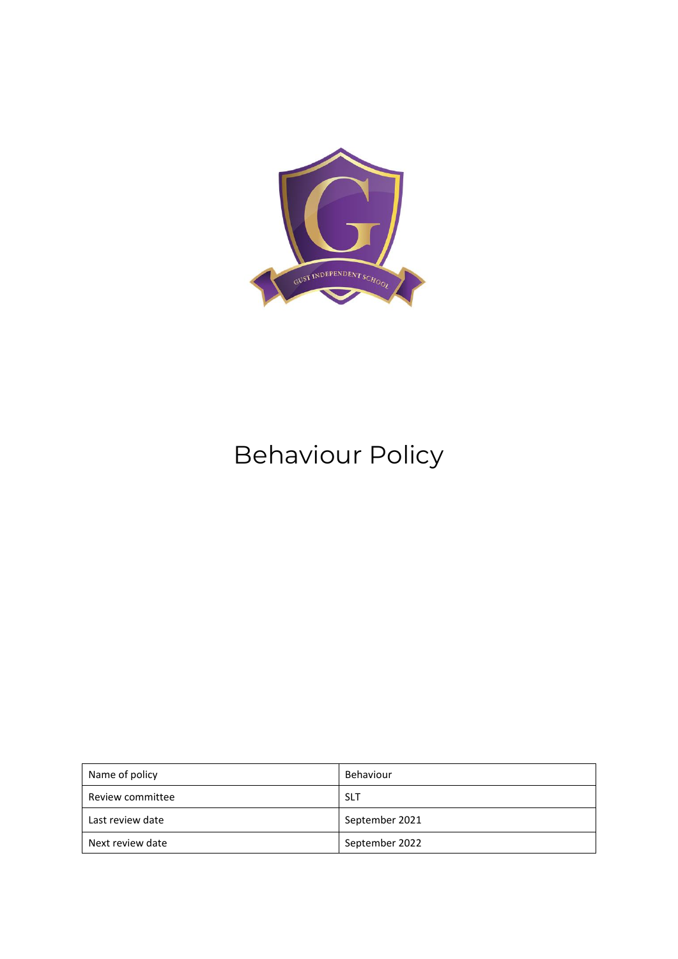

# Behaviour Policy

| Name of policy   | Behaviour      |
|------------------|----------------|
| Review committee | <b>SLT</b>     |
| Last review date | September 2021 |
| Next review date | September 2022 |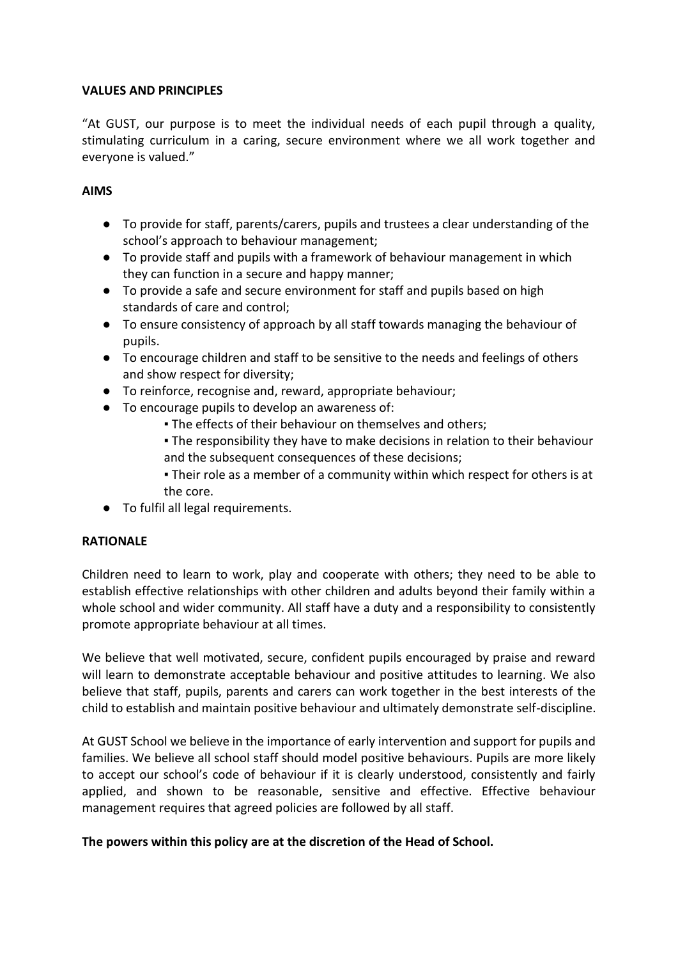#### **VALUES AND PRINCIPLES**

"At GUST, our purpose is to meet the individual needs of each pupil through a quality, stimulating curriculum in a caring, secure environment where we all work together and everyone is valued."

#### **AIMS**

- To provide for staff, parents/carers, pupils and trustees a clear understanding of the school's approach to behaviour management;
- To provide staff and pupils with a framework of behaviour management in which they can function in a secure and happy manner;
- To provide a safe and secure environment for staff and pupils based on high standards of care and control;
- To ensure consistency of approach by all staff towards managing the behaviour of pupils.
- To encourage children and staff to be sensitive to the needs and feelings of others and show respect for diversity;
- To reinforce, recognise and, reward, appropriate behaviour;
- To encourage pupils to develop an awareness of:
	- **The effects of their behaviour on themselves and others;**
	- . The responsibility they have to make decisions in relation to their behaviour and the subsequent consequences of these decisions;
	- Their role as a member of a community within which respect for others is at the core.
- To fulfil all legal requirements.

#### **RATIONALE**

Children need to learn to work, play and cooperate with others; they need to be able to establish effective relationships with other children and adults beyond their family within a whole school and wider community. All staff have a duty and a responsibility to consistently promote appropriate behaviour at all times.

We believe that well motivated, secure, confident pupils encouraged by praise and reward will learn to demonstrate acceptable behaviour and positive attitudes to learning. We also believe that staff, pupils, parents and carers can work together in the best interests of the child to establish and maintain positive behaviour and ultimately demonstrate self-discipline.

At GUST School we believe in the importance of early intervention and support for pupils and families. We believe all school staff should model positive behaviours. Pupils are more likely to accept our school's code of behaviour if it is clearly understood, consistently and fairly applied, and shown to be reasonable, sensitive and effective. Effective behaviour management requires that agreed policies are followed by all staff.

#### **The powers within this policy are at the discretion of the Head of School.**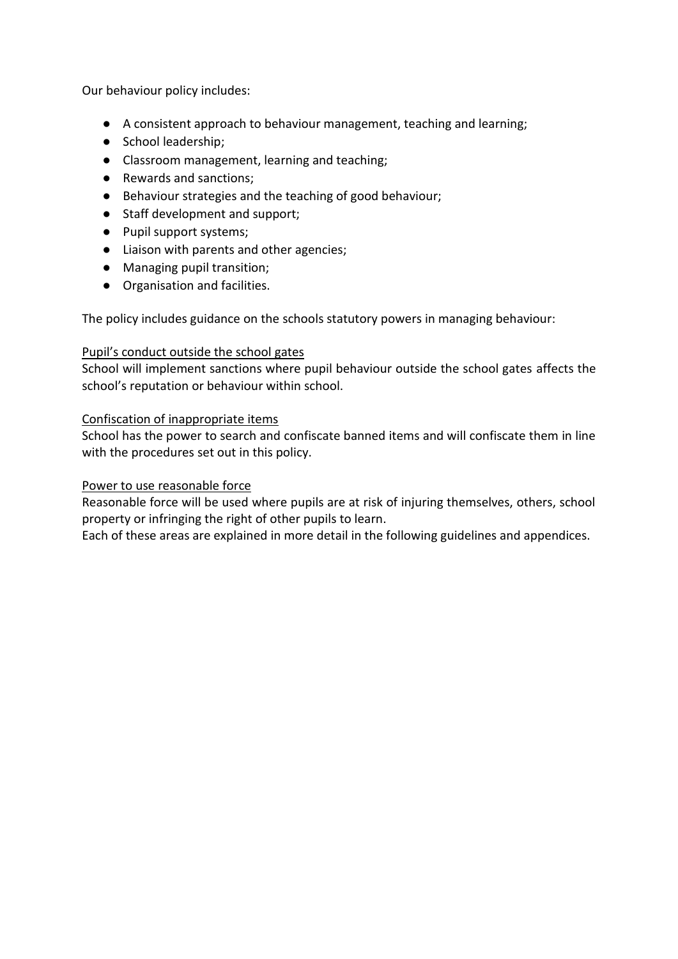Our behaviour policy includes:

- A consistent approach to behaviour management, teaching and learning;
- School leadership;
- Classroom management, learning and teaching;
- Rewards and sanctions;
- Behaviour strategies and the teaching of good behaviour;
- Staff development and support;
- Pupil support systems:
- Liaison with parents and other agencies;
- Managing pupil transition;
- Organisation and facilities.

The policy includes guidance on the schools statutory powers in managing behaviour:

#### Pupil's conduct outside the school gates

School will implement sanctions where pupil behaviour outside the school gates affects the school's reputation or behaviour within school.

#### Confiscation of inappropriate items

School has the power to search and confiscate banned items and will confiscate them in line with the procedures set out in this policy.

#### Power to use reasonable force

Reasonable force will be used where pupils are at risk of injuring themselves, others, school property or infringing the right of other pupils to learn.

Each of these areas are explained in more detail in the following guidelines and appendices.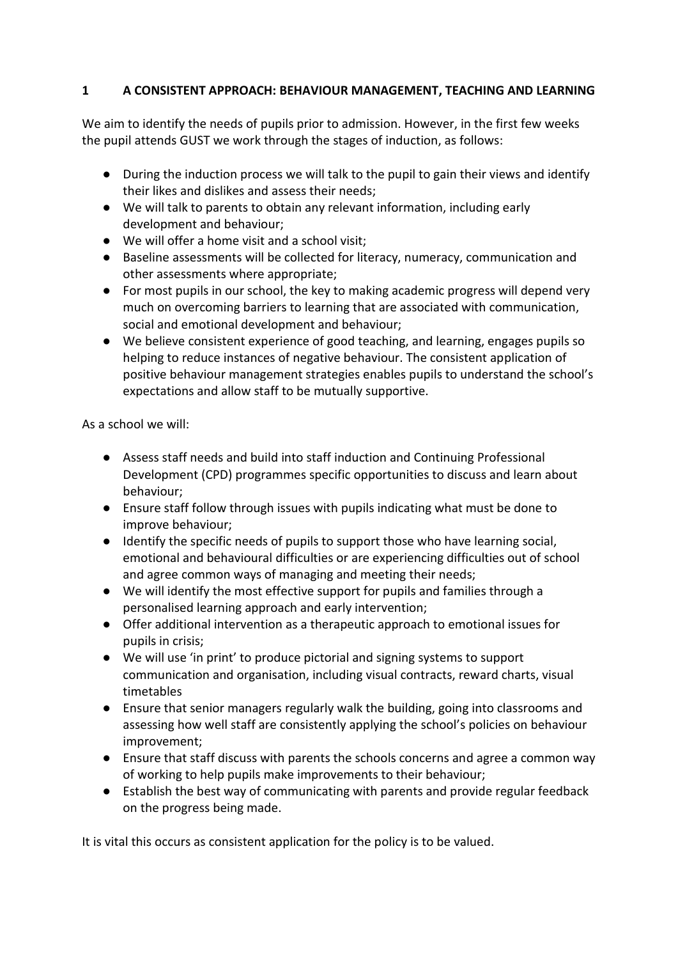# **1 A CONSISTENT APPROACH: BEHAVIOUR MANAGEMENT, TEACHING AND LEARNING**

We aim to identify the needs of pupils prior to admission. However, in the first few weeks the pupil attends GUST we work through the stages of induction, as follows:

- During the induction process we will talk to the pupil to gain their views and identify their likes and dislikes and assess their needs;
- We will talk to parents to obtain any relevant information, including early development and behaviour;
- We will offer a home visit and a school visit;
- Baseline assessments will be collected for literacy, numeracy, communication and other assessments where appropriate;
- For most pupils in our school, the key to making academic progress will depend very much on overcoming barriers to learning that are associated with communication, social and emotional development and behaviour;
- We believe consistent experience of good teaching, and learning, engages pupils so helping to reduce instances of negative behaviour. The consistent application of positive behaviour management strategies enables pupils to understand the school's expectations and allow staff to be mutually supportive.

As a school we will:

- Assess staff needs and build into staff induction and Continuing Professional Development (CPD) programmes specific opportunities to discuss and learn about behaviour;
- Ensure staff follow through issues with pupils indicating what must be done to improve behaviour;
- Identify the specific needs of pupils to support those who have learning social, emotional and behavioural difficulties or are experiencing difficulties out of school and agree common ways of managing and meeting their needs;
- We will identify the most effective support for pupils and families through a personalised learning approach and early intervention;
- Offer additional intervention as a therapeutic approach to emotional issues for pupils in crisis;
- We will use 'in print' to produce pictorial and signing systems to support communication and organisation, including visual contracts, reward charts, visual timetables
- Ensure that senior managers regularly walk the building, going into classrooms and assessing how well staff are consistently applying the school's policies on behaviour improvement;
- Ensure that staff discuss with parents the schools concerns and agree a common way of working to help pupils make improvements to their behaviour;
- Establish the best way of communicating with parents and provide regular feedback on the progress being made.

It is vital this occurs as consistent application for the policy is to be valued.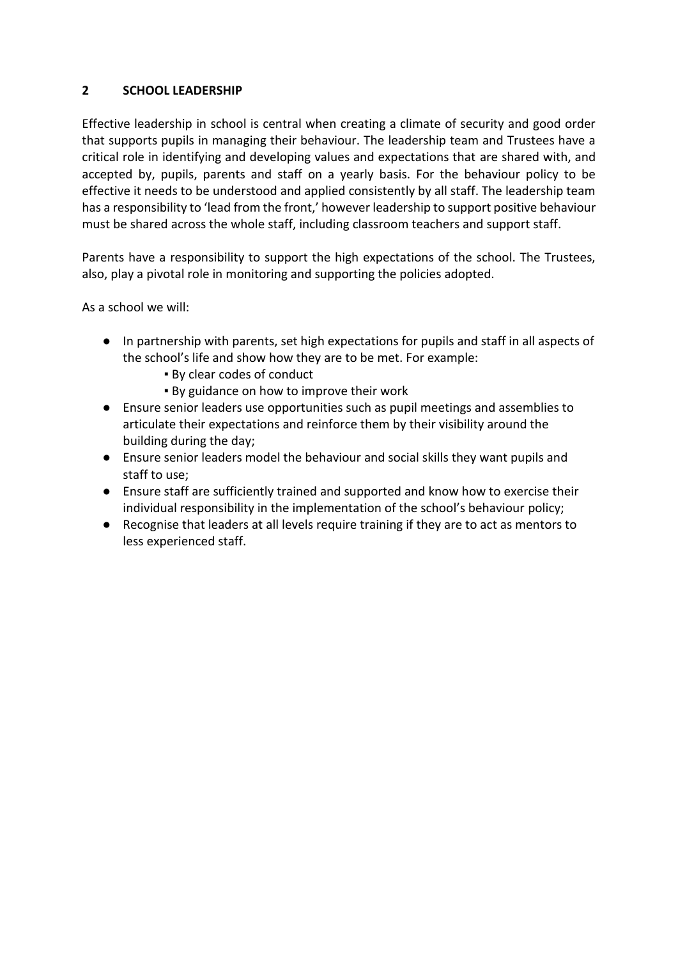## **2 SCHOOL LEADERSHIP**

Effective leadership in school is central when creating a climate of security and good order that supports pupils in managing their behaviour. The leadership team and Trustees have a critical role in identifying and developing values and expectations that are shared with, and accepted by, pupils, parents and staff on a yearly basis. For the behaviour policy to be effective it needs to be understood and applied consistently by all staff. The leadership team has a responsibility to 'lead from the front,' however leadership to support positive behaviour must be shared across the whole staff, including classroom teachers and support staff.

Parents have a responsibility to support the high expectations of the school. The Trustees, also, play a pivotal role in monitoring and supporting the policies adopted.

- In partnership with parents, set high expectations for pupils and staff in all aspects of the school's life and show how they are to be met. For example:
	- By clear codes of conduct
	- By guidance on how to improve their work
- Ensure senior leaders use opportunities such as pupil meetings and assemblies to articulate their expectations and reinforce them by their visibility around the building during the day;
- Ensure senior leaders model the behaviour and social skills they want pupils and staff to use;
- Ensure staff are sufficiently trained and supported and know how to exercise their individual responsibility in the implementation of the school's behaviour policy;
- Recognise that leaders at all levels require training if they are to act as mentors to less experienced staff.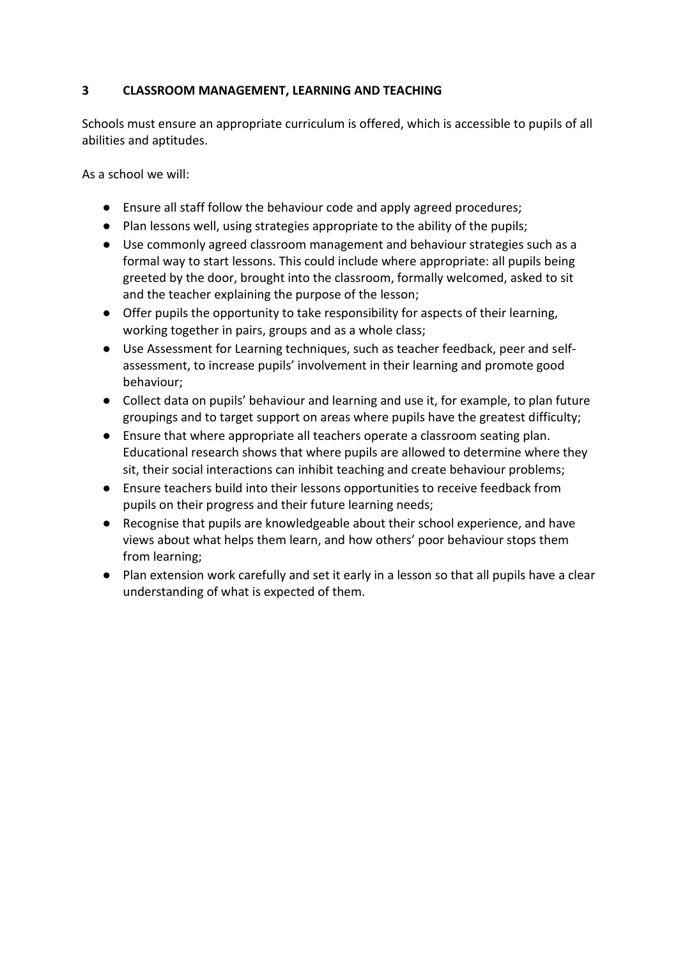# **3 CLASSROOM MANAGEMENT, LEARNING AND TEACHING**

Schools must ensure an appropriate curriculum is offered, which is accessible to pupils of all abilities and aptitudes.

- Ensure all staff follow the behaviour code and apply agreed procedures;
- Plan lessons well, using strategies appropriate to the ability of the pupils;
- Use commonly agreed classroom management and behaviour strategies such as a formal way to start lessons. This could include where appropriate: all pupils being greeted by the door, brought into the classroom, formally welcomed, asked to sit and the teacher explaining the purpose of the lesson;
- Offer pupils the opportunity to take responsibility for aspects of their learning, working together in pairs, groups and as a whole class;
- Use Assessment for Learning techniques, such as teacher feedback, peer and selfassessment, to increase pupils' involvement in their learning and promote good behaviour;
- Collect data on pupils' behaviour and learning and use it, for example, to plan future groupings and to target support on areas where pupils have the greatest difficulty;
- Ensure that where appropriate all teachers operate a classroom seating plan. Educational research shows that where pupils are allowed to determine where they sit, their social interactions can inhibit teaching and create behaviour problems;
- Ensure teachers build into their lessons opportunities to receive feedback from pupils on their progress and their future learning needs;
- Recognise that pupils are knowledgeable about their school experience, and have views about what helps them learn, and how others' poor behaviour stops them from learning;
- Plan extension work carefully and set it early in a lesson so that all pupils have a clear understanding of what is expected of them.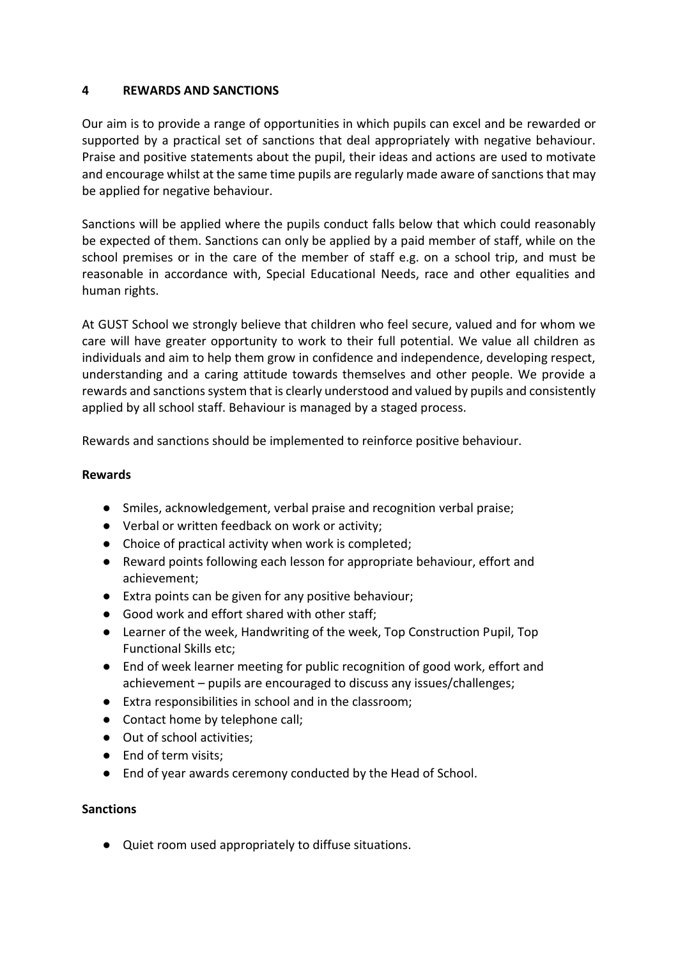#### **4 REWARDS AND SANCTIONS**

Our aim is to provide a range of opportunities in which pupils can excel and be rewarded or supported by a practical set of sanctions that deal appropriately with negative behaviour. Praise and positive statements about the pupil, their ideas and actions are used to motivate and encourage whilst at the same time pupils are regularly made aware of sanctions that may be applied for negative behaviour.

Sanctions will be applied where the pupils conduct falls below that which could reasonably be expected of them. Sanctions can only be applied by a paid member of staff, while on the school premises or in the care of the member of staff e.g. on a school trip, and must be reasonable in accordance with, Special Educational Needs, race and other equalities and human rights.

At GUST School we strongly believe that children who feel secure, valued and for whom we care will have greater opportunity to work to their full potential. We value all children as individuals and aim to help them grow in confidence and independence, developing respect, understanding and a caring attitude towards themselves and other people. We provide a rewards and sanctions system that is clearly understood and valued by pupils and consistently applied by all school staff. Behaviour is managed by a staged process.

Rewards and sanctions should be implemented to reinforce positive behaviour.

#### **Rewards**

- Smiles, acknowledgement, verbal praise and recognition verbal praise;
- Verbal or written feedback on work or activity;
- Choice of practical activity when work is completed;
- Reward points following each lesson for appropriate behaviour, effort and achievement;
- Extra points can be given for any positive behaviour;
- Good work and effort shared with other staff;
- Learner of the week, Handwriting of the week, Top Construction Pupil, Top Functional Skills etc;
- End of week learner meeting for public recognition of good work, effort and achievement – pupils are encouraged to discuss any issues/challenges;
- Extra responsibilities in school and in the classroom;
- Contact home by telephone call;
- Out of school activities:
- End of term visits:
- End of year awards ceremony conducted by the Head of School.

#### **Sanctions**

● Quiet room used appropriately to diffuse situations.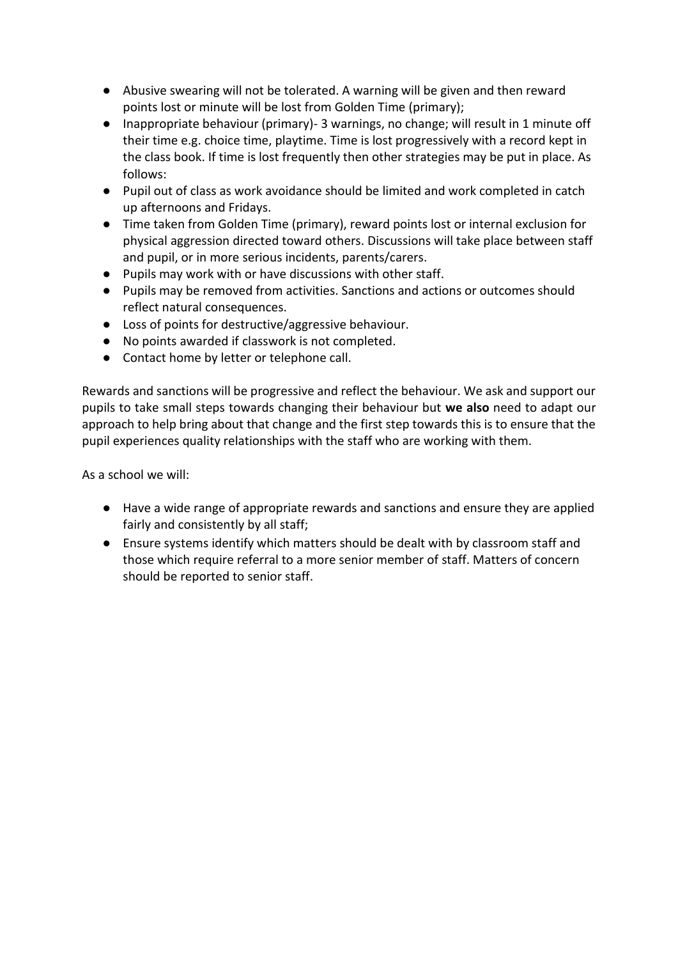- Abusive swearing will not be tolerated. A warning will be given and then reward points lost or minute will be lost from Golden Time (primary);
- Inappropriate behaviour (primary)- 3 warnings, no change; will result in 1 minute off their time e.g. choice time, playtime. Time is lost progressively with a record kept in the class book. If time is lost frequently then other strategies may be put in place. As follows:
- Pupil out of class as work avoidance should be limited and work completed in catch up afternoons and Fridays.
- Time taken from Golden Time (primary), reward points lost or internal exclusion for physical aggression directed toward others. Discussions will take place between staff and pupil, or in more serious incidents, parents/carers.
- Pupils may work with or have discussions with other staff.
- Pupils may be removed from activities. Sanctions and actions or outcomes should reflect natural consequences.
- Loss of points for destructive/aggressive behaviour.
- No points awarded if classwork is not completed.
- Contact home by letter or telephone call.

Rewards and sanctions will be progressive and reflect the behaviour. We ask and support our pupils to take small steps towards changing their behaviour but **we also** need to adapt our approach to help bring about that change and the first step towards this is to ensure that the pupil experiences quality relationships with the staff who are working with them.

- Have a wide range of appropriate rewards and sanctions and ensure they are applied fairly and consistently by all staff;
- Ensure systems identify which matters should be dealt with by classroom staff and those which require referral to a more senior member of staff. Matters of concern should be reported to senior staff.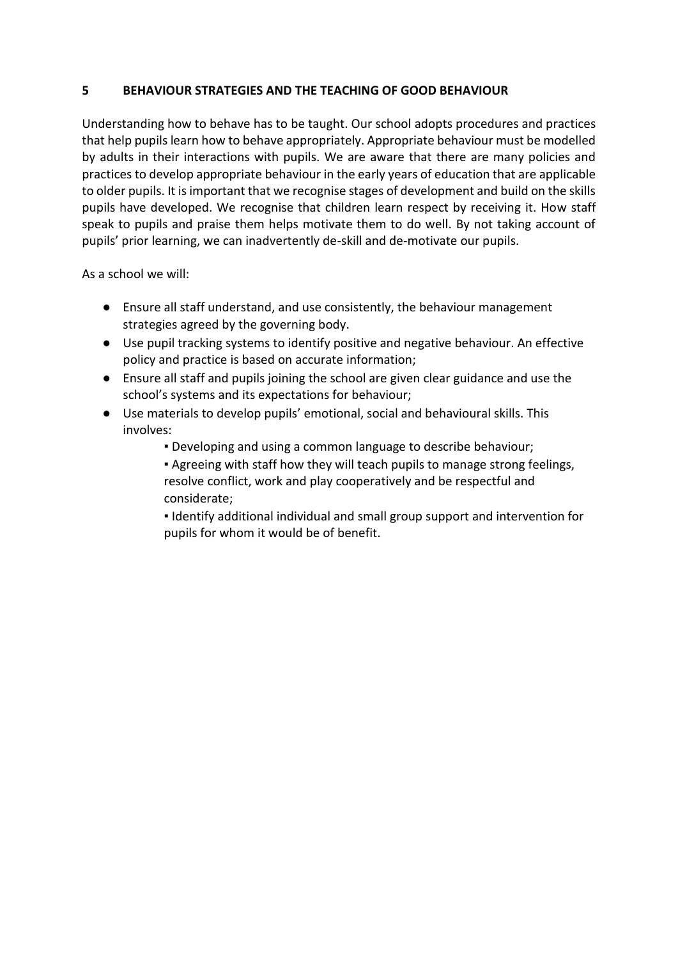#### **5 BEHAVIOUR STRATEGIES AND THE TEACHING OF GOOD BEHAVIOUR**

Understanding how to behave has to be taught. Our school adopts procedures and practices that help pupils learn how to behave appropriately. Appropriate behaviour must be modelled by adults in their interactions with pupils. We are aware that there are many policies and practices to develop appropriate behaviour in the early years of education that are applicable to older pupils. It is important that we recognise stages of development and build on the skills pupils have developed. We recognise that children learn respect by receiving it. How staff speak to pupils and praise them helps motivate them to do well. By not taking account of pupils' prior learning, we can inadvertently de-skill and de-motivate our pupils.

- Ensure all staff understand, and use consistently, the behaviour management strategies agreed by the governing body.
- Use pupil tracking systems to identify positive and negative behaviour. An effective policy and practice is based on accurate information;
- Ensure all staff and pupils joining the school are given clear guidance and use the school's systems and its expectations for behaviour;
- Use materials to develop pupils' emotional, social and behavioural skills. This involves:
	- Developing and using a common language to describe behaviour;
	- **Agreeing with staff how they will teach pupils to manage strong feelings,** resolve conflict, work and play cooperatively and be respectful and considerate;
	- **.** Identify additional individual and small group support and intervention for pupils for whom it would be of benefit.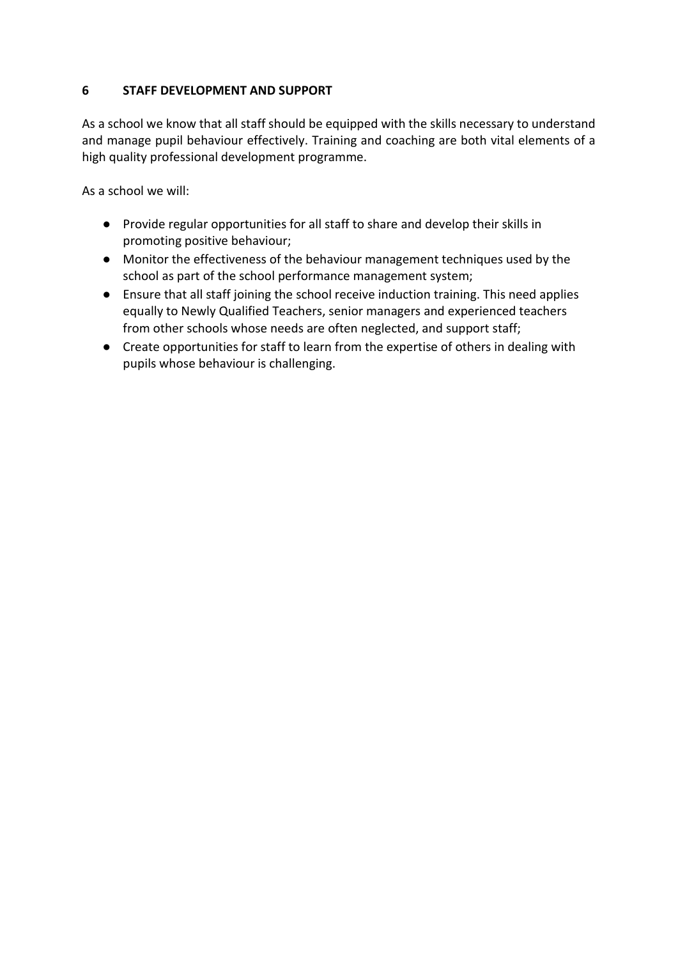# **6 STAFF DEVELOPMENT AND SUPPORT**

As a school we know that all staff should be equipped with the skills necessary to understand and manage pupil behaviour effectively. Training and coaching are both vital elements of a high quality professional development programme.

- Provide regular opportunities for all staff to share and develop their skills in promoting positive behaviour;
- Monitor the effectiveness of the behaviour management techniques used by the school as part of the school performance management system;
- Ensure that all staff joining the school receive induction training. This need applies equally to Newly Qualified Teachers, senior managers and experienced teachers from other schools whose needs are often neglected, and support staff;
- Create opportunities for staff to learn from the expertise of others in dealing with pupils whose behaviour is challenging.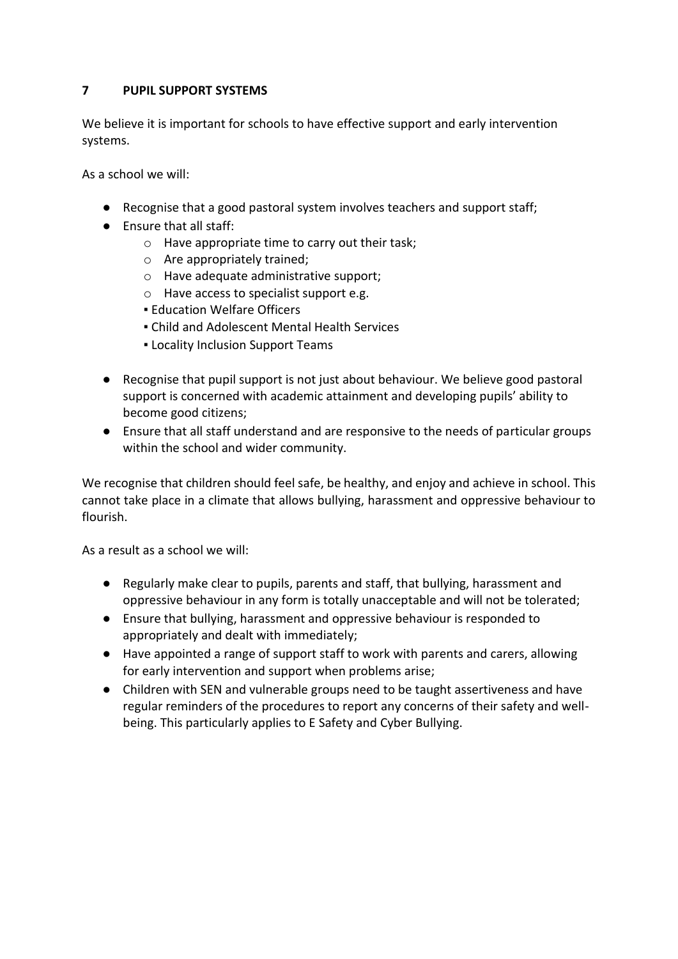# **7 PUPIL SUPPORT SYSTEMS**

We believe it is important for schools to have effective support and early intervention systems.

As a school we will:

- Recognise that a good pastoral system involves teachers and support staff;
- Ensure that all staff:
	- o Have appropriate time to carry out their task;
	- o Are appropriately trained;
	- o Have adequate administrative support;
	- o Have access to specialist support e.g.
	- **Education Welfare Officers**
	- Child and Adolescent Mental Health Services
	- **.** Locality Inclusion Support Teams
- Recognise that pupil support is not just about behaviour. We believe good pastoral support is concerned with academic attainment and developing pupils' ability to become good citizens;
- Ensure that all staff understand and are responsive to the needs of particular groups within the school and wider community.

We recognise that children should feel safe, be healthy, and enjoy and achieve in school. This cannot take place in a climate that allows bullying, harassment and oppressive behaviour to flourish.

As a result as a school we will:

- Regularly make clear to pupils, parents and staff, that bullying, harassment and oppressive behaviour in any form is totally unacceptable and will not be tolerated;
- Ensure that bullying, harassment and oppressive behaviour is responded to appropriately and dealt with immediately;
- Have appointed a range of support staff to work with parents and carers, allowing for early intervention and support when problems arise;
- Children with SEN and vulnerable groups need to be taught assertiveness and have regular reminders of the procedures to report any concerns of their safety and wellbeing. This particularly applies to E Safety and Cyber Bullying.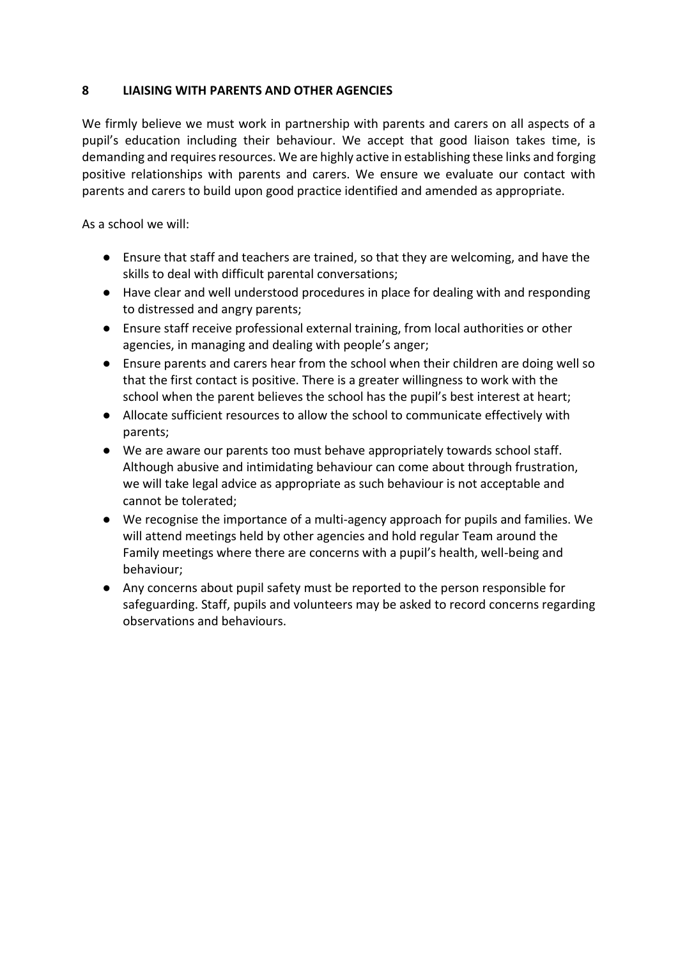## **8 LIAISING WITH PARENTS AND OTHER AGENCIES**

We firmly believe we must work in partnership with parents and carers on all aspects of a pupil's education including their behaviour. We accept that good liaison takes time, is demanding and requires resources. We are highly active in establishing these links and forging positive relationships with parents and carers. We ensure we evaluate our contact with parents and carers to build upon good practice identified and amended as appropriate.

- Ensure that staff and teachers are trained, so that they are welcoming, and have the skills to deal with difficult parental conversations;
- Have clear and well understood procedures in place for dealing with and responding to distressed and angry parents;
- Ensure staff receive professional external training, from local authorities or other agencies, in managing and dealing with people's anger;
- Ensure parents and carers hear from the school when their children are doing well so that the first contact is positive. There is a greater willingness to work with the school when the parent believes the school has the pupil's best interest at heart;
- Allocate sufficient resources to allow the school to communicate effectively with parents;
- We are aware our parents too must behave appropriately towards school staff. Although abusive and intimidating behaviour can come about through frustration, we will take legal advice as appropriate as such behaviour is not acceptable and cannot be tolerated;
- We recognise the importance of a multi-agency approach for pupils and families. We will attend meetings held by other agencies and hold regular Team around the Family meetings where there are concerns with a pupil's health, well-being and behaviour;
- Any concerns about pupil safety must be reported to the person responsible for safeguarding. Staff, pupils and volunteers may be asked to record concerns regarding observations and behaviours.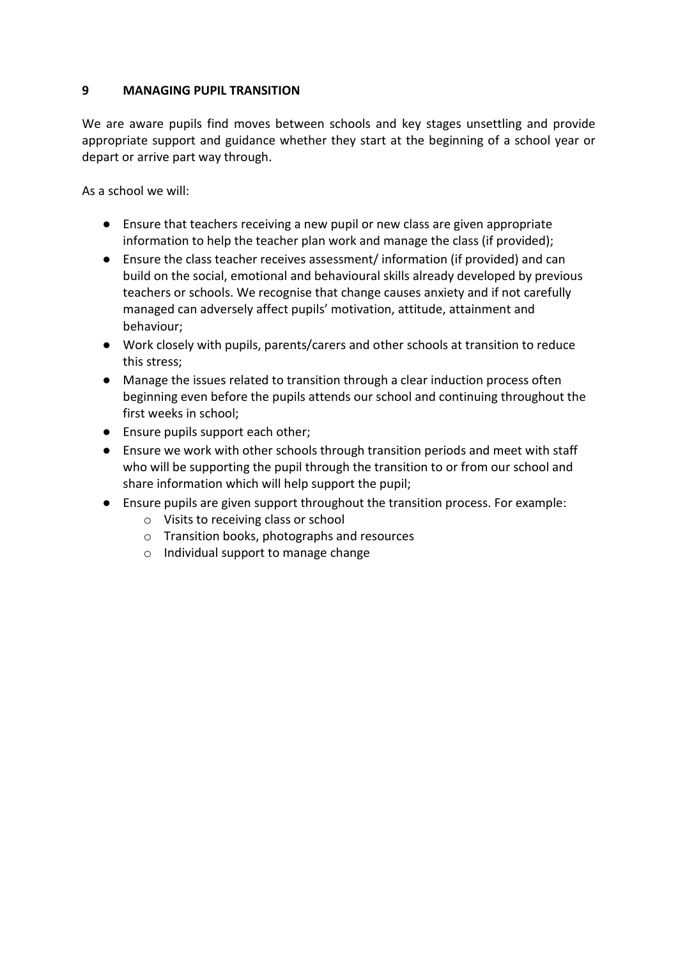#### **9 MANAGING PUPIL TRANSITION**

We are aware pupils find moves between schools and key stages unsettling and provide appropriate support and guidance whether they start at the beginning of a school year or depart or arrive part way through.

- Ensure that teachers receiving a new pupil or new class are given appropriate information to help the teacher plan work and manage the class (if provided);
- Ensure the class teacher receives assessment/ information (if provided) and can build on the social, emotional and behavioural skills already developed by previous teachers or schools. We recognise that change causes anxiety and if not carefully managed can adversely affect pupils' motivation, attitude, attainment and behaviour;
- Work closely with pupils, parents/carers and other schools at transition to reduce this stress;
- Manage the issues related to transition through a clear induction process often beginning even before the pupils attends our school and continuing throughout the first weeks in school;
- Ensure pupils support each other;
- Ensure we work with other schools through transition periods and meet with staff who will be supporting the pupil through the transition to or from our school and share information which will help support the pupil;
- Ensure pupils are given support throughout the transition process. For example:
	- o Visits to receiving class or school
	- o Transition books, photographs and resources
	- o Individual support to manage change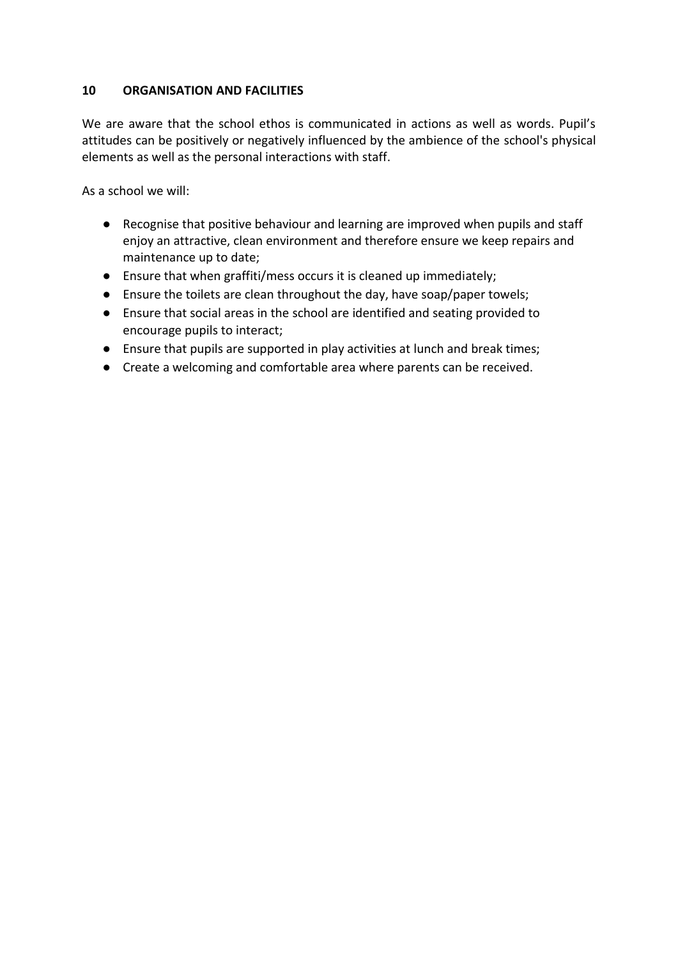#### **10 ORGANISATION AND FACILITIES**

We are aware that the school ethos is communicated in actions as well as words. Pupil's attitudes can be positively or negatively influenced by the ambience of the school's physical elements as well as the personal interactions with staff.

- Recognise that positive behaviour and learning are improved when pupils and staff enjoy an attractive, clean environment and therefore ensure we keep repairs and maintenance up to date;
- Ensure that when graffiti/mess occurs it is cleaned up immediately;
- Ensure the toilets are clean throughout the day, have soap/paper towels;
- Ensure that social areas in the school are identified and seating provided to encourage pupils to interact;
- Ensure that pupils are supported in play activities at lunch and break times;
- Create a welcoming and comfortable area where parents can be received.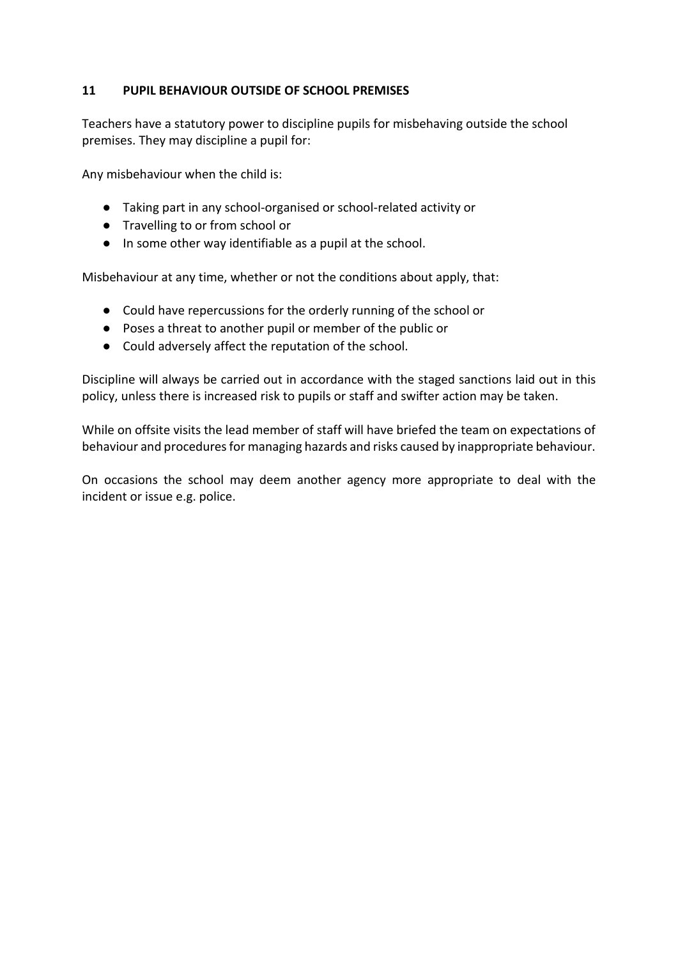## **11 PUPIL BEHAVIOUR OUTSIDE OF SCHOOL PREMISES**

Teachers have a statutory power to discipline pupils for misbehaving outside the school premises. They may discipline a pupil for:

Any misbehaviour when the child is:

- Taking part in any school-organised or school-related activity or
- Travelling to or from school or
- In some other way identifiable as a pupil at the school.

Misbehaviour at any time, whether or not the conditions about apply, that:

- Could have repercussions for the orderly running of the school or
- Poses a threat to another pupil or member of the public or
- Could adversely affect the reputation of the school.

Discipline will always be carried out in accordance with the staged sanctions laid out in this policy, unless there is increased risk to pupils or staff and swifter action may be taken.

While on offsite visits the lead member of staff will have briefed the team on expectations of behaviour and procedures for managing hazards and risks caused by inappropriate behaviour.

On occasions the school may deem another agency more appropriate to deal with the incident or issue e.g. police.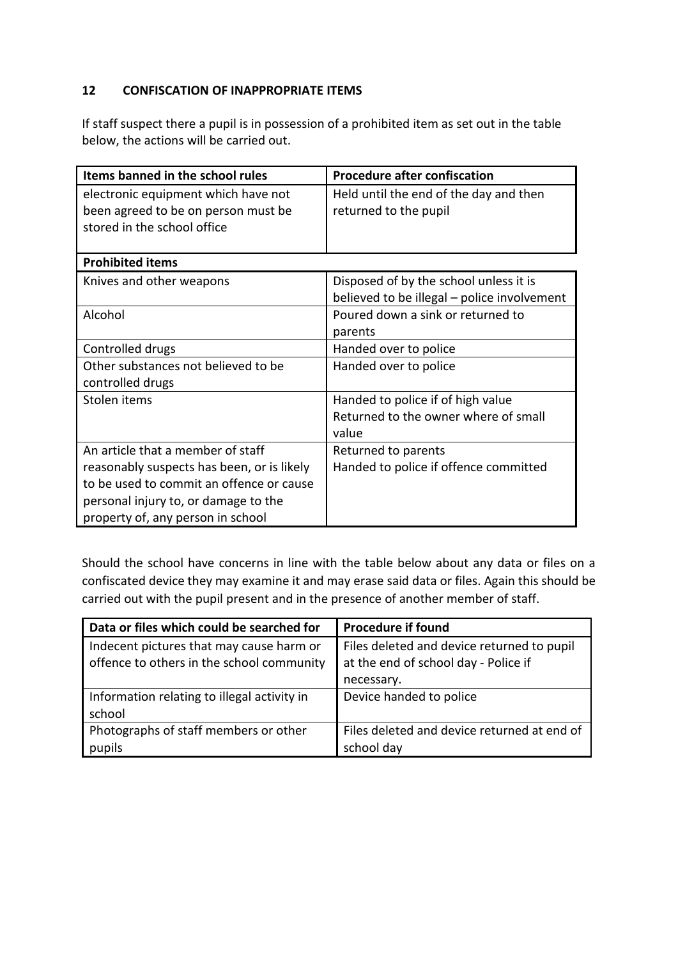# **12 CONFISCATION OF INAPPROPRIATE ITEMS**

If staff suspect there a pupil is in possession of a prohibited item as set out in the table below, the actions will be carried out.

| Items banned in the school rules                                                                                                                                                                         | <b>Procedure after confiscation</b>                                                   |
|----------------------------------------------------------------------------------------------------------------------------------------------------------------------------------------------------------|---------------------------------------------------------------------------------------|
| electronic equipment which have not<br>been agreed to be on person must be<br>stored in the school office                                                                                                | Held until the end of the day and then<br>returned to the pupil                       |
| <b>Prohibited items</b>                                                                                                                                                                                  |                                                                                       |
| Knives and other weapons                                                                                                                                                                                 | Disposed of by the school unless it is<br>believed to be illegal - police involvement |
| Alcohol                                                                                                                                                                                                  | Poured down a sink or returned to<br>parents                                          |
| Controlled drugs                                                                                                                                                                                         | Handed over to police                                                                 |
| Other substances not believed to be<br>controlled drugs                                                                                                                                                  | Handed over to police                                                                 |
| Stolen items                                                                                                                                                                                             | Handed to police if of high value<br>Returned to the owner where of small<br>value    |
| An article that a member of staff<br>reasonably suspects has been, or is likely<br>to be used to commit an offence or cause<br>personal injury to, or damage to the<br>property of, any person in school | Returned to parents<br>Handed to police if offence committed                          |

Should the school have concerns in line with the table below about any data or files on a confiscated device they may examine it and may erase said data or files. Again this should be carried out with the pupil present and in the presence of another member of staff.

| Data or files which could be searched for   | <b>Procedure if found</b>                   |
|---------------------------------------------|---------------------------------------------|
| Indecent pictures that may cause harm or    | Files deleted and device returned to pupil  |
| offence to others in the school community   | at the end of school day - Police if        |
|                                             | necessary.                                  |
| Information relating to illegal activity in | Device handed to police                     |
| school                                      |                                             |
| Photographs of staff members or other       | Files deleted and device returned at end of |
| pupils                                      | school day                                  |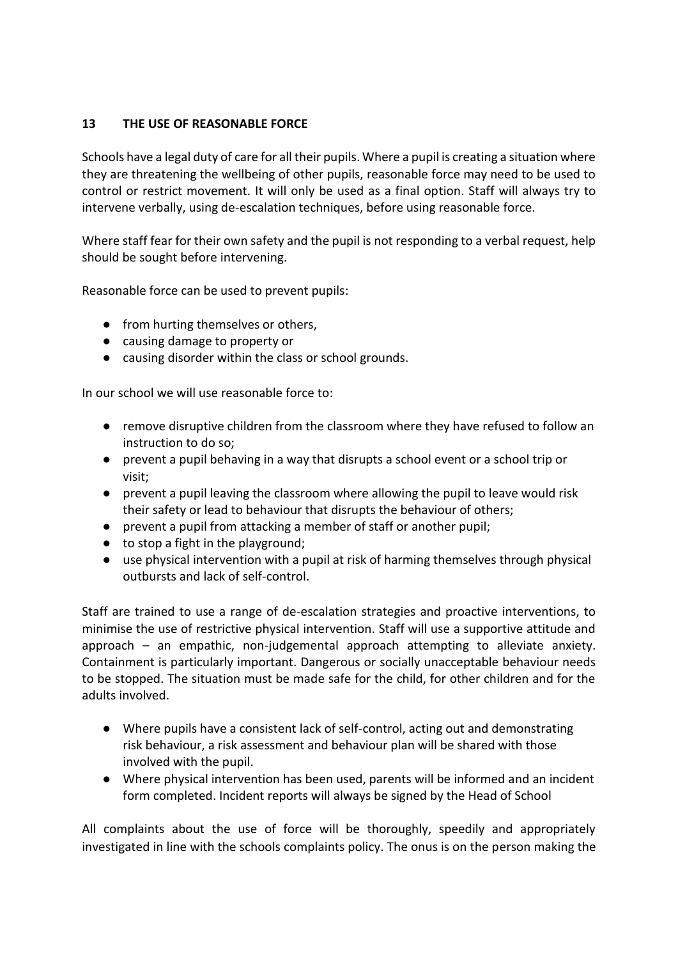# **13 THE USE OF REASONABLE FORCE**

Schools have a legal duty of care for all their pupils. Where a pupil is creating a situation where they are threatening the wellbeing of other pupils, reasonable force may need to be used to control or restrict movement. It will only be used as a final option. Staff will always try to intervene verbally, using de-escalation techniques, before using reasonable force.

Where staff fear for their own safety and the pupil is not responding to a verbal request, help should be sought before intervening.

Reasonable force can be used to prevent pupils:

- from hurting themselves or others,
- causing damage to property or
- causing disorder within the class or school grounds.

In our school we will use reasonable force to:

- remove disruptive children from the classroom where they have refused to follow an instruction to do so;
- prevent a pupil behaving in a way that disrupts a school event or a school trip or visit;
- prevent a pupil leaving the classroom where allowing the pupil to leave would risk their safety or lead to behaviour that disrupts the behaviour of others;
- prevent a pupil from attacking a member of staff or another pupil;
- $\bullet$  to stop a fight in the playground;
- use physical intervention with a pupil at risk of harming themselves through physical outbursts and lack of self-control.

Staff are trained to use a range of de-escalation strategies and proactive interventions, to minimise the use of restrictive physical intervention. Staff will use a supportive attitude and approach – an empathic, non-judgemental approach attempting to alleviate anxiety. Containment is particularly important. Dangerous or socially unacceptable behaviour needs to be stopped. The situation must be made safe for the child, for other children and for the adults involved.

- Where pupils have a consistent lack of self-control, acting out and demonstrating risk behaviour, a risk assessment and behaviour plan will be shared with those involved with the pupil.
- Where physical intervention has been used, parents will be informed and an incident form completed. Incident reports will always be signed by the Head of School

All complaints about the use of force will be thoroughly, speedily and appropriately investigated in line with the schools complaints policy. The onus is on the person making the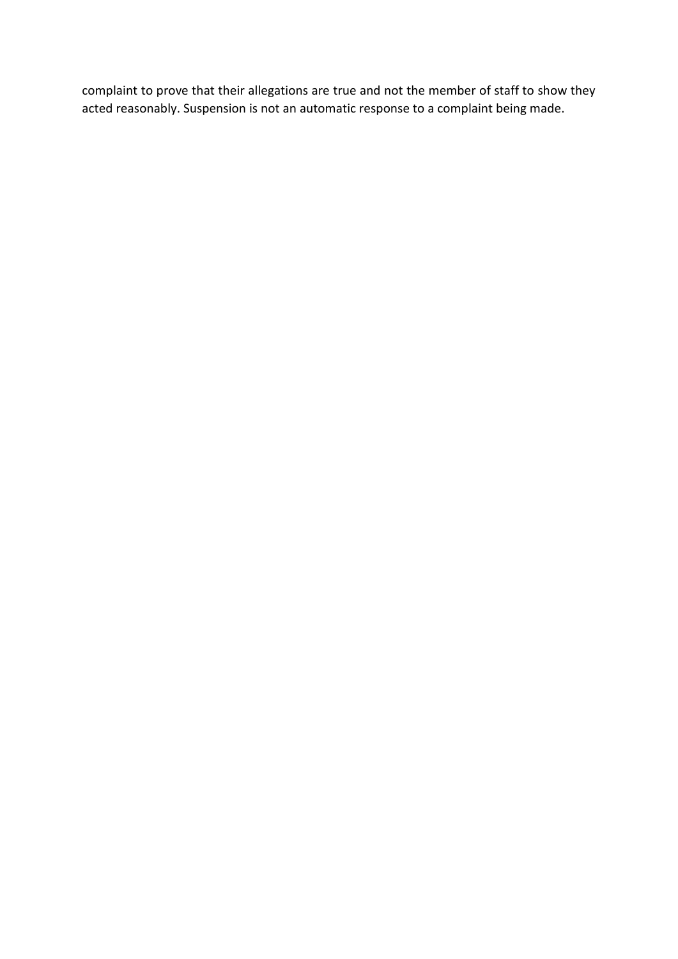complaint to prove that their allegations are true and not the member of staff to show they acted reasonably. Suspension is not an automatic response to a complaint being made.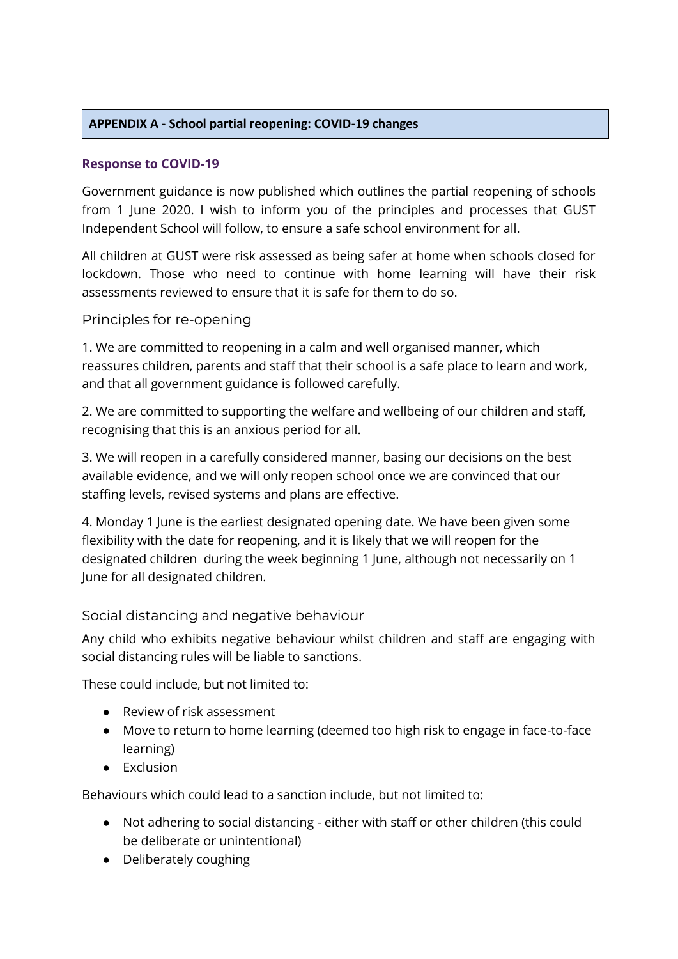# **APPENDIX A - School partial reopening: COVID-19 changes**

# **Response to COVID-19**

Government guidance is now published which outlines the partial reopening of schools from 1 June 2020. I wish to inform you of the principles and processes that GUST Independent School will follow, to ensure a safe school environment for all.

All children at GUST were risk assessed as being safer at home when schools closed for lockdown. Those who need to continue with home learning will have their risk assessments reviewed to ensure that it is safe for them to do so.

## Principles for re-opening

1. We are committed to reopening in a calm and well organised manner, which reassures children, parents and staff that their school is a safe place to learn and work, and that all government guidance is followed carefully.

2. We are committed to supporting the welfare and wellbeing of our children and staff, recognising that this is an anxious period for all.

3. We will reopen in a carefully considered manner, basing our decisions on the best available evidence, and we will only reopen school once we are convinced that our staffing levels, revised systems and plans are effective.

4. Monday 1 June is the earliest designated opening date. We have been given some flexibility with the date for reopening, and it is likely that we will reopen for the designated children during the week beginning 1 June, although not necessarily on 1 June for all designated children.

# Social distancing and negative behaviour

Any child who exhibits negative behaviour whilst children and staff are engaging with social distancing rules will be liable to sanctions.

These could include, but not limited to:

- Review of risk assessment
- Move to return to home learning (deemed too high risk to engage in face-to-face learning)
- Exclusion

Behaviours which could lead to a sanction include, but not limited to:

- Not adhering to social distancing either with staff or other children (this could be deliberate or unintentional)
- Deliberately coughing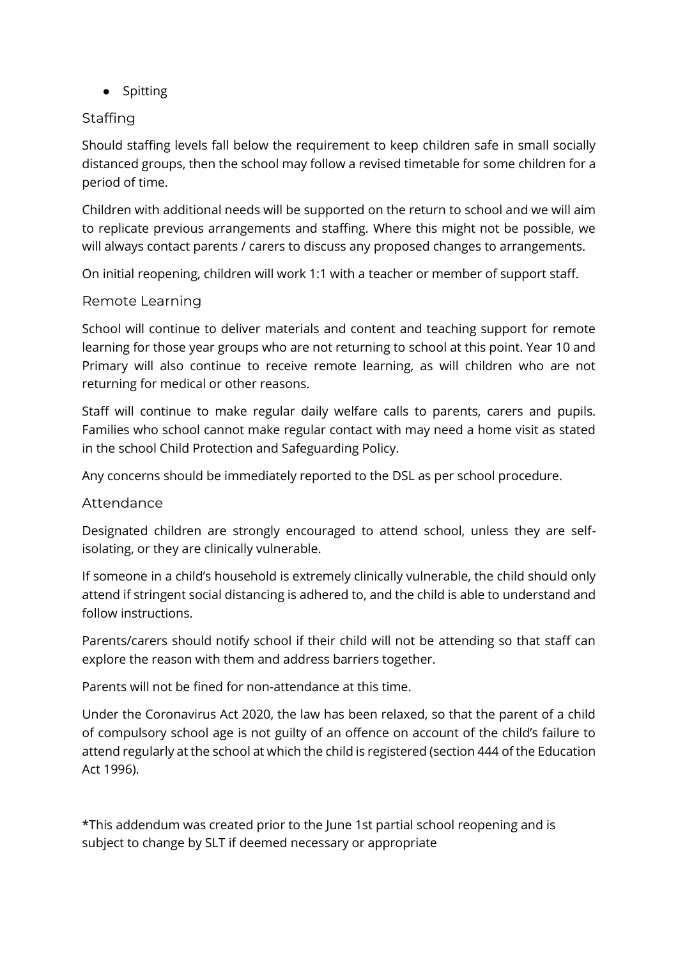● Spitting

# **Staffing**

Should staffing levels fall below the requirement to keep children safe in small socially distanced groups, then the school may follow a revised timetable for some children for a period of time.

Children with additional needs will be supported on the return to school and we will aim to replicate previous arrangements and staffing. Where this might not be possible, we will always contact parents / carers to discuss any proposed changes to arrangements.

On initial reopening, children will work 1:1 with a teacher or member of support staff.

# Remote Learning

School will continue to deliver materials and content and teaching support for remote learning for those year groups who are not returning to school at this point. Year 10 and Primary will also continue to receive remote learning, as will children who are not returning for medical or other reasons.

Staff will continue to make regular daily welfare calls to parents, carers and pupils. Families who school cannot make regular contact with may need a home visit as stated in the school Child Protection and Safeguarding Policy.

Any concerns should be immediately reported to the DSL as per school procedure.

# Attendance

Designated children are strongly encouraged to attend school, unless they are selfisolating, or they are clinically vulnerable.

If someone in a child's household is extremely clinically vulnerable, the child should only attend if stringent social distancing is adhered to, and the child is able to understand and follow instructions.

Parents/carers should notify school if their child will not be attending so that staff can explore the reason with them and address barriers together.

Parents will not be fined for non-attendance at this time.

Under the Coronavirus Act 2020, the law has been relaxed, so that the parent of a child of compulsory school age is not guilty of an offence on account of the child's failure to attend regularly at the school at which the child is registered (section 444 of the Education Act 1996).

\*This addendum was created prior to the June 1st partial school reopening and is subject to change by SLT if deemed necessary or appropriate